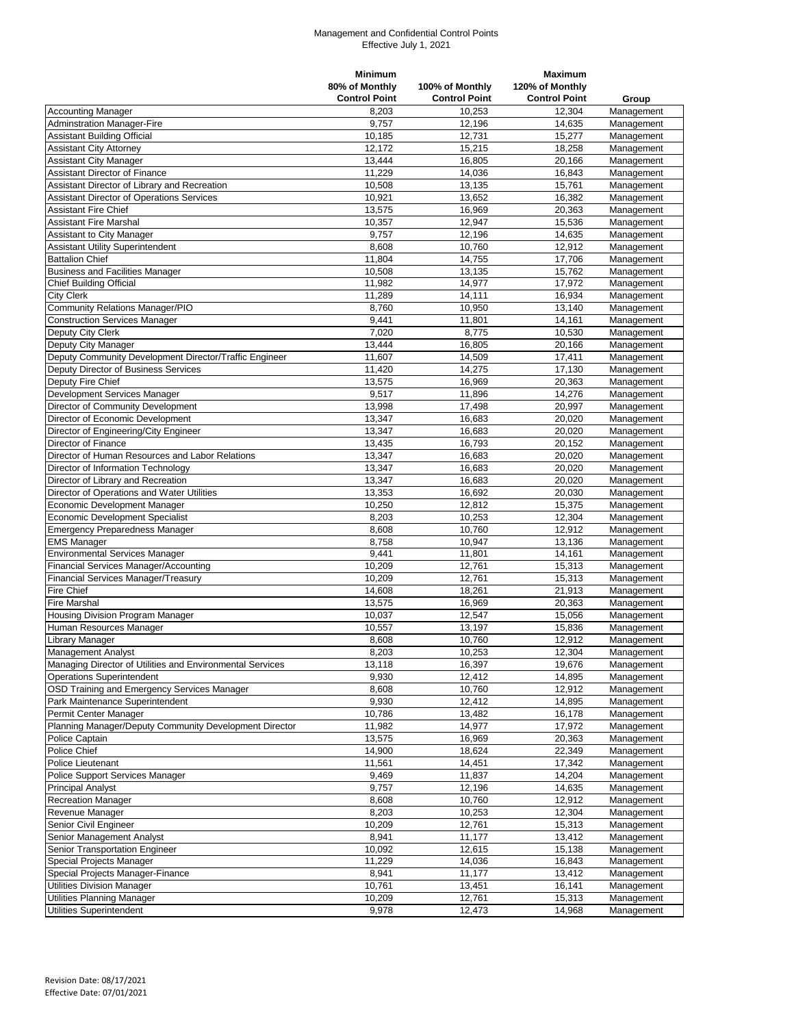## Management and Confidential Control Points Effective July 1, 2021

|                                                           | <b>Minimum</b>       |                      | <b>Maximum</b>       |            |
|-----------------------------------------------------------|----------------------|----------------------|----------------------|------------|
|                                                           | 80% of Monthly       | 100% of Monthly      | 120% of Monthly      |            |
|                                                           | <b>Control Point</b> | <b>Control Point</b> | <b>Control Point</b> | Group      |
| <b>Accounting Manager</b>                                 | 8.203                | 10.253               | 12.304               | Management |
| <b>Adminstration Manager-Fire</b>                         | 9,757                | 12,196               | 14,635               | Management |
| <b>Assistant Building Official</b>                        | 10,185               | 12,731               | 15,277               | Management |
| <b>Assistant City Attorney</b>                            | 12.172               | 15,215               | 18,258               | Management |
| <b>Assistant City Manager</b>                             | 13,444               | 16,805               | 20,166               | Management |
| <b>Assistant Director of Finance</b>                      | 11,229               | 14,036               | 16,843               | Management |
|                                                           |                      |                      |                      |            |
| Assistant Director of Library and Recreation              | 10,508               | 13,135               | 15,761               | Management |
| <b>Assistant Director of Operations Services</b>          | 10,921               | 13,652               | 16,382               | Management |
| <b>Assistant Fire Chief</b>                               | 13,575               | 16,969               | 20,363               | Management |
| <b>Assistant Fire Marshal</b>                             | 10,357               | 12,947               | 15,536               | Management |
| Assistant to City Manager                                 | 9,757                | 12,196               | 14,635               | Management |
| <b>Assistant Utility Superintendent</b>                   | 8,608                | 10,760               | 12,912               | Management |
| <b>Battalion Chief</b>                                    | 11,804               | 14,755               | 17,706               | Management |
| <b>Business and Facilities Manager</b>                    | 10,508               | 13,135               | 15,762               | Management |
| <b>Chief Building Official</b>                            | 11,982               | 14,977               | 17,972               | Management |
| <b>City Clerk</b>                                         | 11,289               | 14,111               | 16,934               | Management |
| <b>Community Relations Manager/PIO</b>                    | 8,760                | 10,950               | 13,140               | Management |
| <b>Construction Services Manager</b>                      | 9,441                | 11,801               | 14,161               | Management |
| Deputy City Clerk                                         | 7,020                | 8,775                | 10,530               | Management |
| Deputy City Manager                                       | 13,444               | 16,805               | 20,166               | Management |
| Deputy Community Development Director/Traffic Engineer    | 11,607               | 14,509               | 17,411               | Management |
| Deputy Director of Business Services                      | 11,420               | 14,275               | 17.130               | Management |
| Deputy Fire Chief                                         | 13,575               | 16,969               | 20,363               | Management |
|                                                           | 9,517                |                      | 14,276               |            |
| Development Services Manager                              |                      | 11,896               |                      | Management |
| Director of Community Development                         | 13,998               | 17,498               | 20,997               | Management |
| Director of Economic Development                          | 13.347               | 16,683               | 20,020               | Management |
| Director of Engineering/City Engineer                     | 13.347               | 16,683               | 20,020               | Management |
| <b>Director of Finance</b>                                | 13,435               | 16.793               | 20,152               | Management |
| Director of Human Resources and Labor Relations           | 13,347               | 16,683               | 20,020               | Management |
| Director of Information Technology                        | 13,347               | 16,683               | 20,020               | Management |
| Director of Library and Recreation                        | 13,347               | 16,683               | 20,020               | Management |
| Director of Operations and Water Utilities                | 13,353               | 16.692               | 20,030               | Management |
| Economic Development Manager                              | 10,250               | 12,812               | 15,375               | Management |
| <b>Economic Development Specialist</b>                    | 8,203                | 10,253               | 12,304               | Management |
| <b>Emergency Preparedness Manager</b>                     | 8,608                | 10,760               | 12,912               | Management |
| <b>EMS Manager</b>                                        | 8,758                | 10,947               | 13,136               | Management |
| <b>Environmental Services Manager</b>                     | 9,441                | 11,801               | 14,161               | Management |
| <b>Financial Services Manager/Accounting</b>              | 10,209               | 12,761               | 15,313               | Management |
| Financial Services Manager/Treasury                       | 10,209               | 12,761               | 15,313               | Management |
| <b>Fire Chief</b>                                         | 14,608               | 18,261               | 21,913               | Management |
|                                                           | 13,575               | 16,969               | 20,363               |            |
| <b>Fire Marshal</b>                                       |                      |                      |                      | Management |
| Housing Division Program Manager                          | 10,037               | 12,547               | 15,056               | Management |
| Human Resources Manager                                   | 10,557               | 13,197               | 15,836               | Management |
| Library Manager                                           | 8,608                | 10,760               | 12,912               | Management |
| <b>Management Analyst</b>                                 | 8,203                | 10,253               | 12,304               | Management |
| Managing Director of Utilities and Environmental Services | 13,118               | 16,397               | 19,676               | Management |
| <b>Operations Superintendent</b>                          | 9,930                | 12,412               | 14,895               | Management |
| OSD Training and Emergency Services Manager               | 8,608                | 10,760               | 12,912               | Management |
| Park Maintenance Superintendent                           | 9,930                | 12,412               | 14,895               | Management |
| Permit Center Manager                                     | 10,786               | 13,482               | 16,178               | Management |
| Planning Manager/Deputy Community Development Director    | 11,982               | 14,977               | 17,972               | Management |
| Police Captain                                            | 13,575               | 16,969               | 20,363               | Management |
| Police Chief                                              | 14,900               | 18,624               | 22,349               | Management |
| Police Lieutenant                                         | 11,561               | 14,451               | 17,342               | Management |
| Police Support Services Manager                           | 9,469                | 11,837               | 14,204               | Management |
| <b>Principal Analyst</b>                                  | 9,757                | 12,196               | 14,635               | Management |
| Recreation Manager                                        |                      |                      |                      |            |
|                                                           | 8,608                | 10,760<br>10,253     | 12,912               | Management |
| Revenue Manager                                           | 8,203                |                      | 12,304               | Management |
| Senior Civil Engineer                                     | 10,209               | 12,761               | 15,313               | Management |
| Senior Management Analyst                                 | 8,941                | 11,177               | 13,412               | Management |
| Senior Transportation Engineer                            | 10,092               | 12,615               | 15,138               | Management |
| Special Projects Manager                                  | 11,229               | 14,036               | 16,843               | Management |
| Special Projects Manager-Finance                          | 8,941                | 11,177               | 13,412               | Management |
| <b>Utilities Division Manager</b>                         | 10,761               | 13,451               | 16,141               | Management |
| Utilities Planning Manager                                | 10,209               | 12,761               | 15,313               | Management |
| Utilities Superintendent                                  | 9,978                | 12,473               | 14,968               | Management |